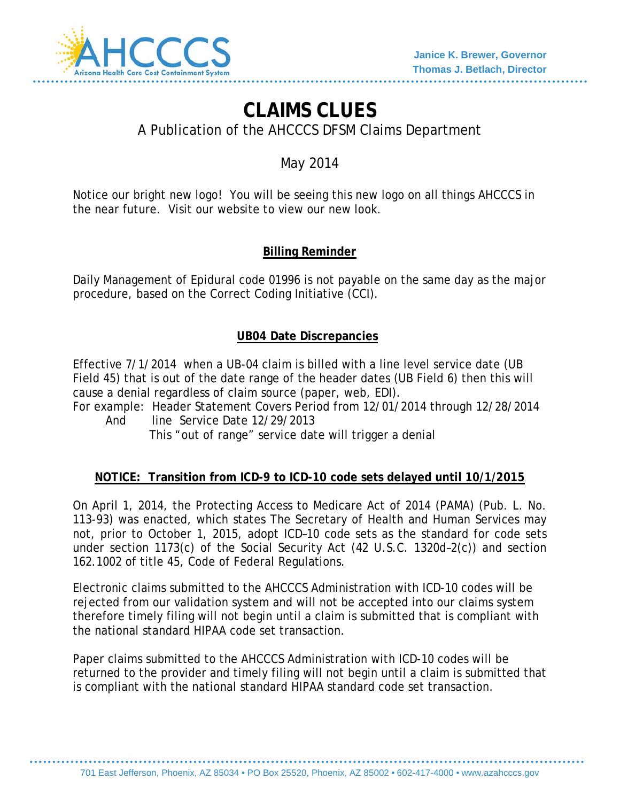

# **CLAIMS CLUES**

A Publication of the AHCCCS DFSM Claims Department

## May 2014

Notice our bright new logo! You will be seeing this new logo on all things AHCCCS in the near future. Visit our website to view our new look.

## **Billing Reminder**

Daily Management of Epidural code 01996 is not payable on the same day as the major procedure, based on the Correct Coding Initiative (CCI).

## **UB04 Date Discrepancies**

Effective 7/1/2014 when a UB-04 claim is billed with a line level service date (UB Field 45) that is out of the date range of the header dates (UB Field 6) then this will cause a denial regardless of claim source (paper, web, EDI).

For example: Header Statement Covers Period from 12/01/2014 through 12/28/2014 And line Service Date 12/29/2013

This "out of range" service date will trigger a denial

## **NOTICE: Transition from ICD-9 to ICD-10 code sets delayed until 10/1/2015**

On April 1, 2014, the Protecting Access to Medicare Act of 2014 (PAMA) (Pub. L. No. 113-93) was enacted, which states The Secretary of Health and Human Services may not, prior to October 1, 2015, adopt ICD–10 code sets as the standard for code sets under section 1173(c) of the Social Security Act (42 U.S.C. 1320d–2(c)) and section 162.1002 of title 45, Code of Federal Regulations.

Electronic claims submitted to the AHCCCS Administration with ICD-10 codes will be rejected from our validation system and will not be accepted into our claims system therefore timely filing will not begin until a claim is submitted that is compliant with the national standard HIPAA code set transaction.

Paper claims submitted to the AHCCCS Administration with ICD-10 codes will be returned to the provider and timely filing will not begin until a claim is submitted that is compliant with the national standard HIPAA standard code set transaction.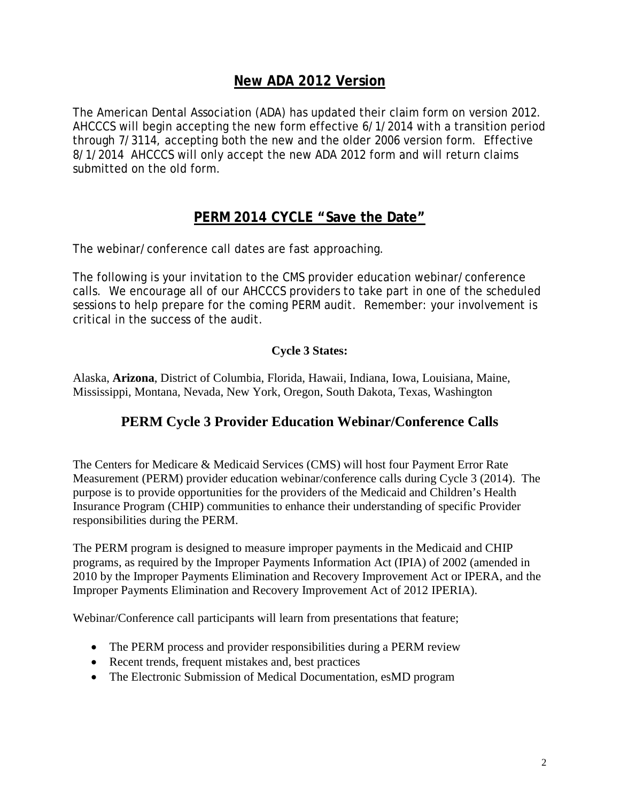## **New ADA 2012 Version**

The American Dental Association (ADA) has updated their claim form on version 2012. AHCCCS will begin accepting the new form effective 6/1/2014 with a transition period through 7/3114, accepting both the new and the older 2006 version form. Effective 8/1/2014 AHCCCS will only accept the new ADA 2012 form and will return claims submitted on the old form.

## **PERM 2014 CYCLE "Save the Date"**

The webinar/conference call dates are fast approaching.

The following is your invitation to the CMS provider education webinar/conference calls. We encourage all of our AHCCCS providers to take part in one of the scheduled sessions to help prepare for the coming PERM audit. Remember: your involvement is critical in the success of the audit.

## **Cycle 3 States:**

Alaska, **Arizona**, District of Columbia, Florida, Hawaii, Indiana, Iowa, Louisiana, Maine, Mississippi, Montana, Nevada, New York, Oregon, South Dakota, Texas, Washington

## **PERM Cycle 3 Provider Education Webinar/Conference Calls**

The Centers for Medicare & Medicaid Services (CMS) will host four Payment Error Rate Measurement (PERM) provider education webinar/conference calls during Cycle 3 (2014). The purpose is to provide opportunities for the providers of the Medicaid and Children's Health Insurance Program (CHIP) communities to enhance their understanding of specific Provider responsibilities during the PERM.

The PERM program is designed to measure improper payments in the Medicaid and CHIP programs, as required by the Improper Payments Information Act (IPIA) of 2002 (amended in 2010 by the Improper Payments Elimination and Recovery Improvement Act or IPERA, and the Improper Payments Elimination and Recovery Improvement Act of 2012 IPERIA).

Webinar/Conference call participants will learn from presentations that feature;

- The PERM process and provider responsibilities during a PERM review
- Recent trends, frequent mistakes and, best practices
- The Electronic Submission of Medical Documentation, esMD program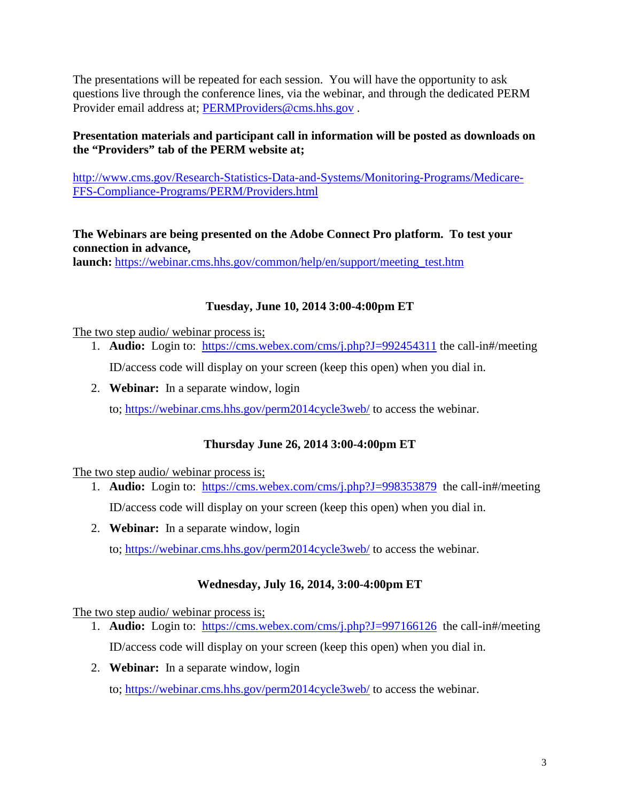The presentations will be repeated for each session. You will have the opportunity to ask questions live through the conference lines, via the webinar, and through the dedicated PERM Provider email address at; [PERMProviders@cms.hhs.gov](mailto:PERMProviders@cms.hhs.gov) .

#### **Presentation materials and participant call in information will be posted as downloads on the "Providers" tab of the PERM website at;**

[http://www.cms.gov/Research-Statistics-Data-and-Systems/Monitoring-Programs/Medicare-](http://www.cms.gov/Research-Statistics-Data-and-Systems/Monitoring-Programs/Medicare-FFS-Compliance-Programs/PERM/Providers.html)[FFS-Compliance-Programs/PERM/Providers.html](http://www.cms.gov/Research-Statistics-Data-and-Systems/Monitoring-Programs/Medicare-FFS-Compliance-Programs/PERM/Providers.html)

**The Webinars are being presented on the Adobe Connect Pro platform. To test your connection in advance,** 

**launch:** [https://webinar.cms.hhs.gov/common/help/en/support/meeting\\_test.htm](https://webinar.cms.hhs.gov/common/help/en/support/meeting_test.htm)

## **Tuesday, June 10, 2014 3:00-4:00pm ET**

The two step audio/ webinar process is;

1. **Audio:** Login to: <https://cms.webex.com/cms/j.php?J=992454311> the call-in#/meeting

ID/access code will display on your screen (keep this open) when you dial in.

2. **Webinar:** In a separate window, login

to;<https://webinar.cms.hhs.gov/perm2014cycle3web/> to access the webinar.

## **Thursday June 26, 2014 3:00-4:00pm ET**

The two step audio/ webinar process is;

- 1. **Audio:** Login to: <https://cms.webex.com/cms/j.php?J=998353879> the call-in#/meeting ID/access code will display on your screen (keep this open) when you dial in.
- 2. **Webinar:** In a separate window, login

to;<https://webinar.cms.hhs.gov/perm2014cycle3web/> to access the webinar.

## **Wednesday, July 16, 2014, 3:00-4:00pm ET**

The two step audio/ webinar process is;

- 1. **Audio:** Login to: <https://cms.webex.com/cms/j.php?J=997166126> the call-in#/meeting ID/access code will display on your screen (keep this open) when you dial in.
- 2. **Webinar:** In a separate window, login to;<https://webinar.cms.hhs.gov/perm2014cycle3web/> to access the webinar.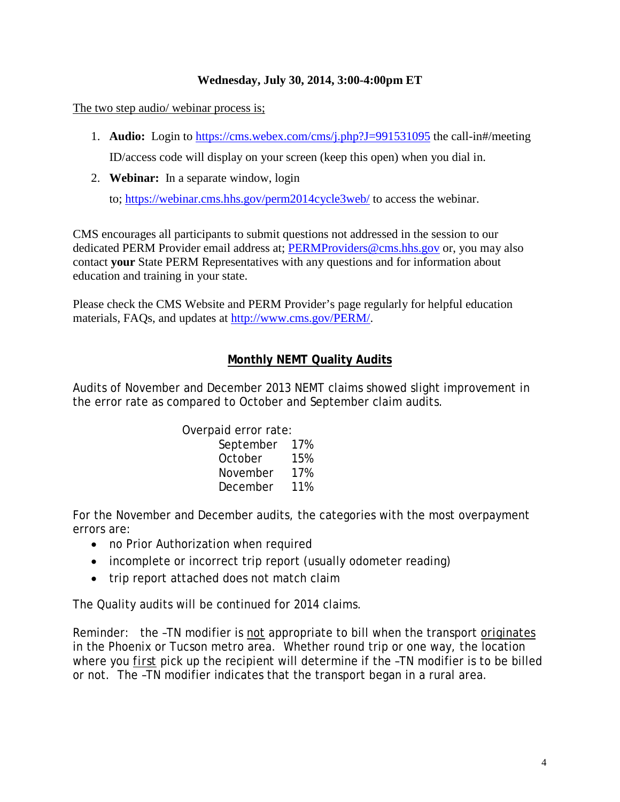#### **Wednesday, July 30, 2014, 3:00-4:00pm ET**

The two step audio/ webinar process is;

- 1. **Audio:** Login to <https://cms.webex.com/cms/j.php?J=991531095> the call-in#/meeting ID/access code will display on your screen (keep this open) when you dial in.
- 2. **Webinar:** In a separate window, login

to;<https://webinar.cms.hhs.gov/perm2014cycle3web/> to access the webinar.

CMS encourages all participants to submit questions not addressed in the session to our dedicated PERM Provider email address at; [PERMProviders@cms.hhs.gov](mailto:PERMProviders@cms.hhs.gov) or, you may also contact **your** State PERM Representatives with any questions and for information about education and training in your state.

Please check the CMS Website and PERM Provider's page regularly for helpful education materials, FAQs, and updates at [http://www.cms.gov/PERM/.](http://www.cms.gov/PERM/)

#### **Monthly NEMT Quality Audits**

Audits of November and December 2013 NEMT claims showed slight improvement in the error rate as compared to October and September claim audits.

Overpaid error rate:

| September | 17% |
|-----------|-----|
| October   | 15% |
| November  | 17% |
| December  | 11% |

For the November and December audits, the categories with the most overpayment errors are:

- no Prior Authorization when required
- incomplete or incorrect trip report (usually odometer reading)
- trip report attached does not match claim

The Quality audits will be continued for 2014 claims.

Reminder: the –TN modifier is *not* appropriate to bill when the transport *originates* in the Phoenix or Tucson metro area. Whether round trip or one way, the location where you *first* pick up the recipient will determine if the –TN modifier is to be billed or not. The –TN modifier indicates that the transport began in a rural area.